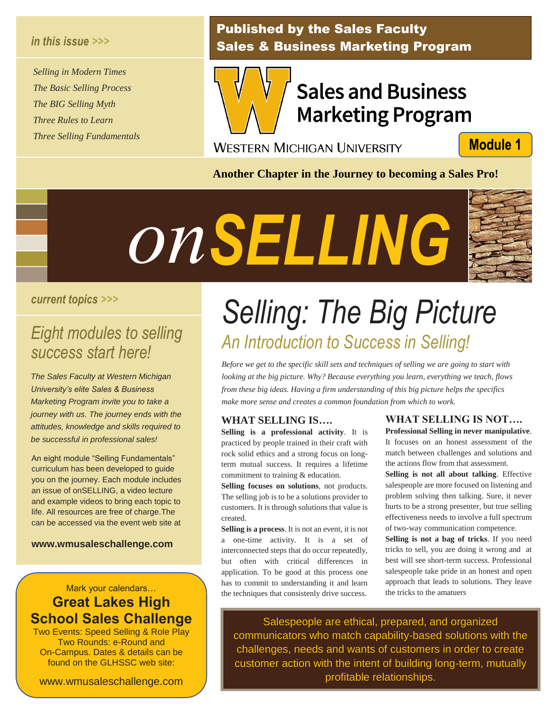#### *in this issue >>>*

*Selling in Modern Times The Basic Selling Process The BIG Selling Myth Three Rules to Learn Three Selling Fundamentals*

### Published by the Sales Faculty Sales & Business Marketing Program



### **Sales and Business Marketing Program**

**WESTERN MICHIGAN UNIVERSITY** 

**Module 1** 

**Another Chapter in the Journey to becoming a Sales Pro!**



#### *current topics >>>*

# *Eight modules to selling Selling<br>The Selling<br>The Sere!*

*The Sales Faculty at Western Michigan University's elite Sales & Business Marketing Program invite you to take a journey with us. The journey ends with the attitudes, knowledge and skills required to be successful in professional sales!*

An eight module "Selling Fundamentals" curriculum has been developed to guide you on the journey. Each module includes an issue of onSELLING, a video lecture and example videos to bring each topic to life. All resources are free of charge.The can be accessed via the event web site at

**www.wmusaleschallenge.com**

### Mark your calendars… **Great Lakes High School Sales Challenge**

Two Events: Speed Selling & Role Play Two Rounds: e-Round and On-Campus. Dates & details can be found on the GLHSSC web site:

www.wmusaleschallenge.com

## *Selling: The Big Picture success start here! An Introduction to Success in Selling!*

*Before we get to the specific skill sets and techniques of selling we are going to start with looking at the big picture. Why? Because everything you learn, everything we teach, flows from these big ideas. Having a firm understanding of this big picture helps the specifics make more sense and creates a common foundation from which to work.*

#### **WHAT SELLING IS….**

**Selling is a professional activity**. It is practiced by people trained in their craft with rock solid ethics and a strong focus on longterm mutual success. It requires a lifetime commitment to training & education.

**Selling focuses on solutions**, not products. The selling job is to be a solutions provider to customers. It is through solutions that value is created.

**Selling is a process**. It is not an event, it is not a one-time activity. It is a set of interconnected steps that do occur repeatedly, but often with critical differences in application. To be good at this process one has to commit to understanding it and learn the techniques that consistenly drive success.

#### **WHAT SELLING IS NOT…. Professional Selling in never manipulative**.

It focuses on an honest assessment of the match between challenges and solutions and the actions flow from that assessment.

**Selling is not all about talking**. Effective salespeople are more focused on listening and problem solving then talking. Sure, it never hurts to be a strong presenter, but true selling effectiveness needs to involve a full spectrum of two-way communication competence.

**Selling is not a bag of tricks**. If you need tricks to sell, you are doing it wrong and at best will see short-term success. Professional salespeople take pride in an honest and open approach that leads to solutions. They leave the tricks to the amatuers

Salespeople are ethical, prepared, and organized communicators who match capability-based solutions with the challenges, needs and wants of customers in order to create customer action with the intent of building long-term, mutually profitable relationships.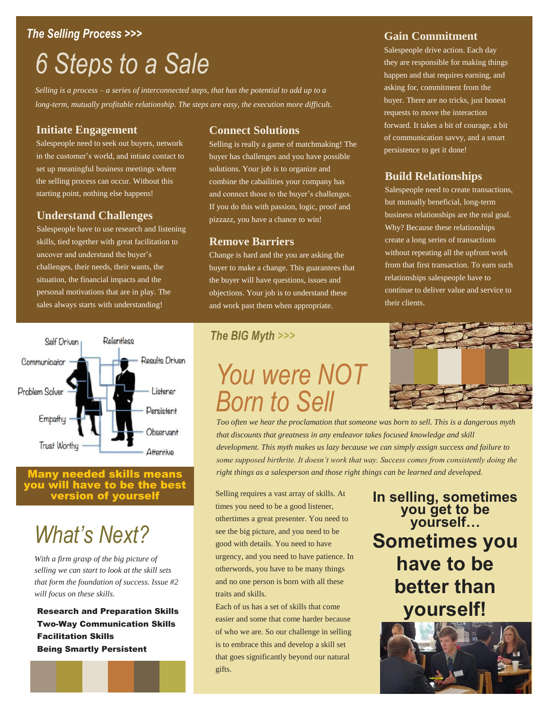#### *The Selling Process >>>*

### *6 Steps to a Sale*

*Selling is a process – a series of interconnected steps, that has the potential to add up to a long-term, mutually profitable relationship. The steps are easy, the execution more difficult.*

#### **Initiate Engagement**

Salespeople need to seek out buyers, network in the customer's world, and intiate contact to set up meaningful business meetings where the selling process can occur. Without this starting point, nothing else happens!

#### **Understand Challenges**

Salespeople have to use research and listening skills, tied together with great facilitation to uncover and understand the buyer's challenges, their needs, their wants, the situation, the financial impacts and the personal motivations that are in play. The sales always starts with understanding!



#### any needed skills means you will have to be the best version of yourself

### *What's Next?*

*With a firm grasp of the big picture of selling we can start to look at the skill sets that form the foundation of success. Issue #2 will focus on these skills.*

Research and Preparation Skills Two-Way Communication Skills Facilitation Skills Being Smartly Persistent

#### **Connect Solutions**

Selling is really a game of matchmaking! The buyer has challenges and you have possible solutions. Your job is to organize and combine the cabailities your company has and connect those to the buyer's challenges. If you do this with passion, logic, proof and pizzazz, you have a chance to win!

#### **Remove Barriers**

Change is hard and the you are asking the buyer to make a change. This guarantees that the buyer will have questions, issues and objections. Your job is to understand these and work past them when appropriate.

#### **Gain Commitment**

Salespeople drive action. Each day they are responsible for making things happen and that requires earning, and asking for, commitment from the buyer. There are no tricks, just honest requests to move the interaction forward. It takes a bit of courage, a bit of communication savvy, and a smart persistence to get it done!

#### **Build Relationships**

Salespeople need to create transactions, but mutually beneficial, long-term business relationships are the real goal. Why? Because these relationships create a long series of transactions without repeating all the upfront work from that first transaction. To earn such relationships salespeople have to continue to deliver value and service to their clients.

#### *The BIG Myth >>>*

### *You were NOT Born to Sell*

*Too often we hear the proclamation that someone was born to sell. This is a dangerous myth that discounts that greatness in any endeavor takes focused knowledge and skill development. This myth makes us lazy because we can simply assign success and failure to some supposed birthrite. It doesn't work that way. Success comes from consistently doing the right things as a salesperson and those right things can be learned and developed.*

Selling requires a vast array of skills. At times you need to be a good listener, othertimes a great presenter. You need to see the big picture, and you need to be good with details. You need to have urgency, and you need to have patience. In otherwords, you have to be many things and no one person is born with all these traits and skills.

Each of us has a set of skills that come easier and some that come harder because of who we are. So our challenge in selling is to embrace this and develop a skill set that goes significantly beyond our natural gifts.

**In selling, sometimes you get to be yourself… Sometimes you have to be better than yourself!**